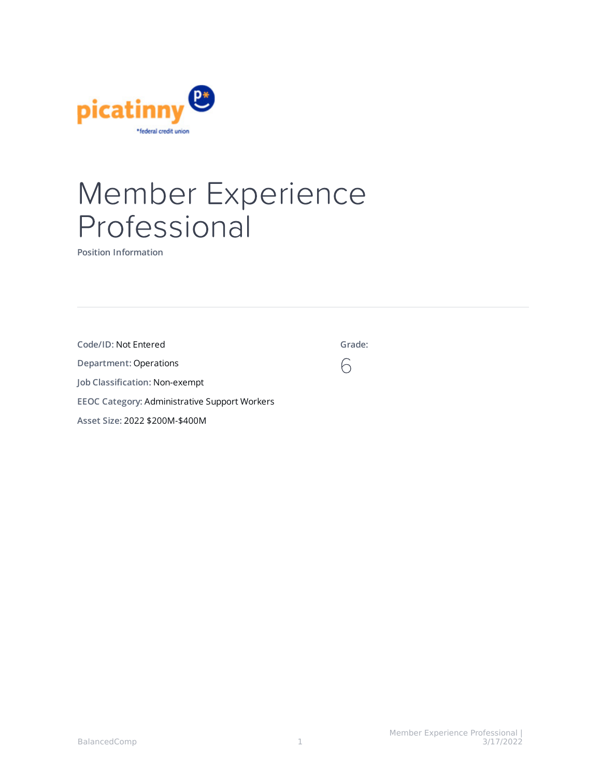

# Member Experience Professional

**Position Information**

| Code/ID: Not Entered                                 | Grade: |
|------------------------------------------------------|--------|
| Department: Operations                               |        |
| Job Classification: Non-exempt                       |        |
| <b>EEOC Category: Administrative Support Workers</b> |        |
| Asset Size: 2022 \$200M-\$400M                       |        |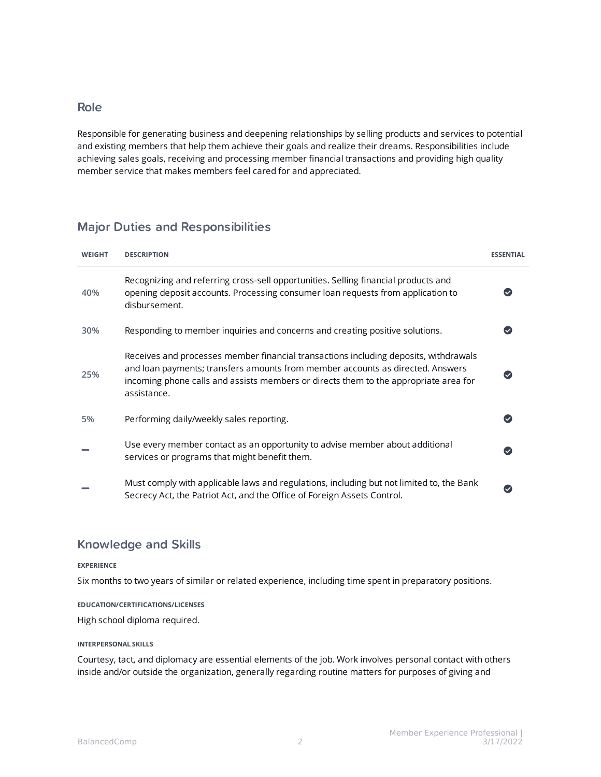### Role

Responsible for generating business and deepening relationships by selling products and services to potential and existing members that help them achieve their goals and realize their dreams. Responsibilities include achieving sales goals, receiving and processing member financial transactions and providing high quality member service that makes members feel cared for and appreciated.

## Major Duties and Responsibilities

| <b>WEIGHT</b> | <b>DESCRIPTION</b>                                                                                                                                                                                                                                                            | <b>ESSENTIAL</b> |
|---------------|-------------------------------------------------------------------------------------------------------------------------------------------------------------------------------------------------------------------------------------------------------------------------------|------------------|
| 40%           | Recognizing and referring cross-sell opportunities. Selling financial products and<br>opening deposit accounts. Processing consumer loan requests from application to<br>disbursement.                                                                                        |                  |
| 30%           | Responding to member inquiries and concerns and creating positive solutions.                                                                                                                                                                                                  |                  |
| 25%           | Receives and processes member financial transactions including deposits, withdrawals<br>and loan payments; transfers amounts from member accounts as directed. Answers<br>incoming phone calls and assists members or directs them to the appropriate area for<br>assistance. |                  |
| 5%            | Performing daily/weekly sales reporting.                                                                                                                                                                                                                                      |                  |
|               | Use every member contact as an opportunity to advise member about additional<br>services or programs that might benefit them.                                                                                                                                                 |                  |
|               | Must comply with applicable laws and regulations, including but not limited to, the Bank<br>Secrecy Act, the Patriot Act, and the Office of Foreign Assets Control.                                                                                                           |                  |

## Knowledge and Skills

#### **EXPERIENCE**

Six months to two years of similar or related experience, including time spent in preparatory positions.

#### **EDUCATION/CERTIFICATIONS/LICENSES**

High school diploma required.

#### **INTERPERSONAL SKILLS**

Courtesy, tact, and diplomacy are essential elements of the job. Work involves personal contact with others inside and/or outside the organization, generally regarding routine matters for purposes of giving and